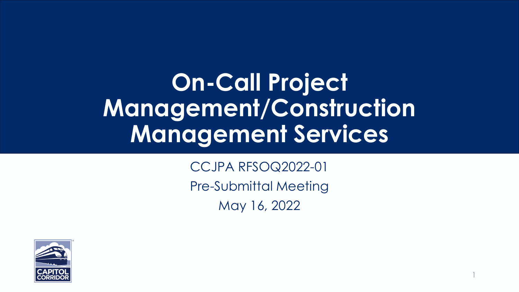## **On-Call Project Management/Construction Management Services**

CCJPA RFSOQ2022-01 Pre-Submittal Meeting May 16, 2022

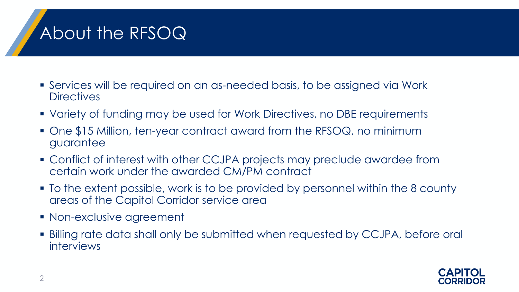## About the RFSOQ

- Services will be required on an as-needed basis, to be assigned via Work **Directives**
- Variety of funding may be used for Work Directives, no DBE requirements
- One \$15 Million, ten-year contract award from the RFSOQ, no minimum guarantee
- Conflict of interest with other CCJPA projects may preclude awardee from certain work under the awarded CM/PM contract
- To the extent possible, work is to be provided by personnel within the 8 county areas of the Capitol Corridor service area
- **Non-exclusive agreement**
- Billing rate data shall only be submitted when requested by CCJPA, before oral interviews

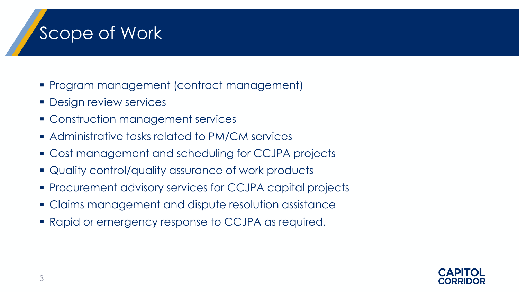#### Scope of Work

- Program management (contract management)
- **Design review services**
- **Construction management services**
- Administrative tasks related to PM/CM services
- Cost management and scheduling for CCJPA projects
- Quality control/quality assurance of work products
- Procurement advisory services for CCJPA capital projects
- Claims management and dispute resolution assistance
- Rapid or emergency response to CCJPA as required.

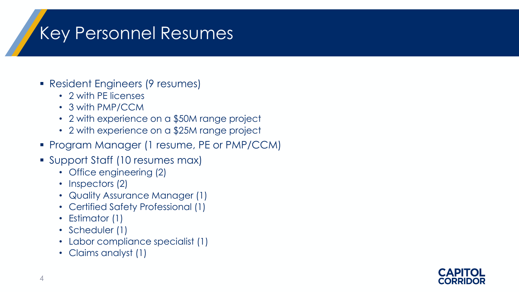## Key Personnel Resumes

- Resident Engineers (9 resumes)
	- 2 with PE licenses
	- 3 with PMP/CCM
	- 2 with experience on a \$50M range project
	- 2 with experience on a \$25M range project
- **Program Manager (1 resume, PE or PMP/CCM)**
- Support Staff (10 resumes max)
	- Office engineering (2)
	- Inspectors (2)
	- Quality Assurance Manager (1)
	- Certified Safety Professional (1)
	- Estimator (1)
	- Scheduler (1)
	- Labor compliance specialist (1)
	- Claims analyst (1)

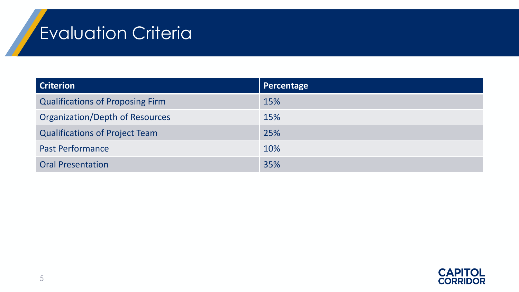## Evaluation Criteria

| <b>Criterion</b>                        | <b>Percentage</b> |
|-----------------------------------------|-------------------|
| <b>Qualifications of Proposing Firm</b> | 15%               |
| <b>Organization/Depth of Resources</b>  | 15%               |
| <b>Qualifications of Project Team</b>   | 25%               |
| <b>Past Performance</b>                 | 10%               |
| <b>Oral Presentation</b>                | 35%               |

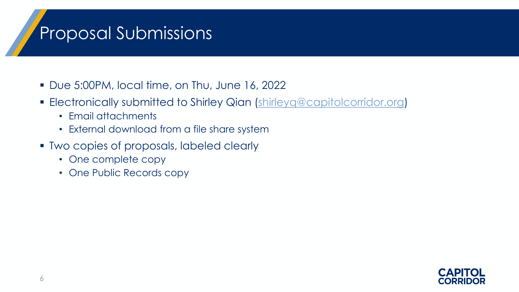#### Proposal Submissions

- Due 5:00PM, local time, on Thu, June 16, 2022
- Electronically submitted to Shirley Qian [\(shirleyq@capitolcorridor.org](mailto:shirleyq@capitolcorridor.org))
	- Email attachments
	- External download from a file share system
- Two copies of proposals, labeled clearly
	- One complete copy
	- One Public Records copy

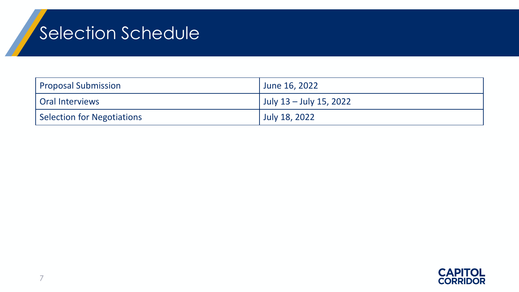# Selection Schedule

| Proposal Submission               | June 16, 2022           |
|-----------------------------------|-------------------------|
| Oral Interviews                   | July 13 – July 15, 2022 |
| <b>Selection for Negotiations</b> | July 18, 2022           |